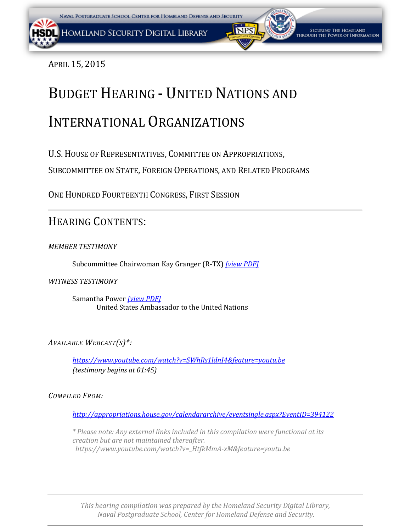SECURING THE HOMELAND rough the Power of Information

APRIL 15, 2015

# BUDGET HEARING - UNITED NATIONS AND

# INTERNATIONAL ORGANIZATIONS

U.S.HOUSE OF REPRESENTATIVES, COMMITTEE ON APPROPRIATIONS,

SUBCOMMITTEE ON STATE, FOREIGN OPERATIONS, AND RELATED PROGRAMS

ONE HUNDRED FOURTEENTH CONGRESS, FIRST SESSION

# HEARING CONTENTS:

*MEMBER TESTIMONY*

Subcommittee Chairwoman Kay Granger (R-TX) *[\[view PDF\]](#page-1-0)*

*WITNESS TESTIMONY*

Samantha Power *[\[view PDF\]](#page-3-0)* United States Ambassador to the United Nations

*AVAILABLE WEBCAST(S)\*:*

*<https://www.youtube.com/watch?v=SWhRs1ldnI4&feature=youtu.be> (testimony begins at 01:45)*

*COMPILED FROM:*

*<http://appropriations.house.gov/calendararchive/eventsingle.aspx?EventID=394122>*

*\* Please note: Any external links included in this compilation were functional at its creation but are not maintained thereafter. https://www.youtube.com/watch?v=\_HtfkMmA-xM&feature=youtu.be*

*This hearing compilation was prepared by the Homeland Security Digital Library, Naval Postgraduate School, Center for Homeland Defense and Security.*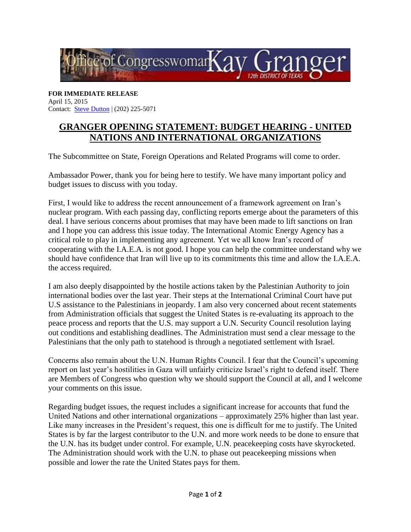<span id="page-1-0"></span>

**FOR IMMEDIATE RELEASE** April 15, 2015 Contact: [Steve Dutton](mailto:steve.dutton@mail.house.gov) | (202) 225-5071

## **GRANGER OPENING STATEMENT: BUDGET HEARING - UNITED NATIONS AND INTERNATIONAL ORGANIZATIONS**

The Subcommittee on State, Foreign Operations and Related Programs will come to order.

Ambassador Power, thank you for being here to testify. We have many important policy and budget issues to discuss with you today.

First, I would like to address the recent announcement of a framework agreement on Iran's nuclear program. With each passing day, conflicting reports emerge about the parameters of this deal. I have serious concerns about promises that may have been made to lift sanctions on Iran and I hope you can address this issue today. The International Atomic Energy Agency has a critical role to play in implementing any agreement. Yet we all know Iran's record of cooperating with the I.A.E.A. is not good. I hope you can help the committee understand why we should have confidence that Iran will live up to its commitments this time and allow the I.A.E.A. the access required.

I am also deeply disappointed by the hostile actions taken by the Palestinian Authority to join international bodies over the last year. Their steps at the International Criminal Court have put U.S assistance to the Palestinians in jeopardy. I am also very concerned about recent statements from Administration officials that suggest the United States is re-evaluating its approach to the peace process and reports that the U.S. may support a U.N. Security Council resolution laying out conditions and establishing deadlines. The Administration must send a clear message to the Palestinians that the only path to statehood is through a negotiated settlement with Israel.

Concerns also remain about the U.N. Human Rights Council. I fear that the Council's upcoming report on last year's hostilities in Gaza will unfairly criticize Israel's right to defend itself. There are Members of Congress who question why we should support the Council at all, and I welcome your comments on this issue.

Regarding budget issues, the request includes a significant increase for accounts that fund the United Nations and other international organizations – approximately 25% higher than last year. Like many increases in the President's request, this one is difficult for me to justify. The United States is by far the largest contributor to the U.N. and more work needs to be done to ensure that the U.N. has its budget under control. For example, U.N. peacekeeping costs have skyrocketed. The Administration should work with the U.N. to phase out peacekeeping missions when possible and lower the rate the United States pays for them.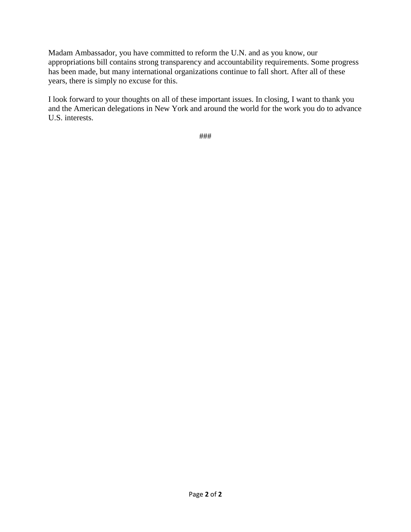Madam Ambassador, you have committed to reform the U.N. and as you know, our appropriations bill contains strong transparency and accountability requirements. Some progress has been made, but many international organizations continue to fall short. After all of these years, there is simply no excuse for this.

I look forward to your thoughts on all of these important issues. In closing, I want to thank you and the American delegations in New York and around the world for the work you do to advance U.S. interests.

###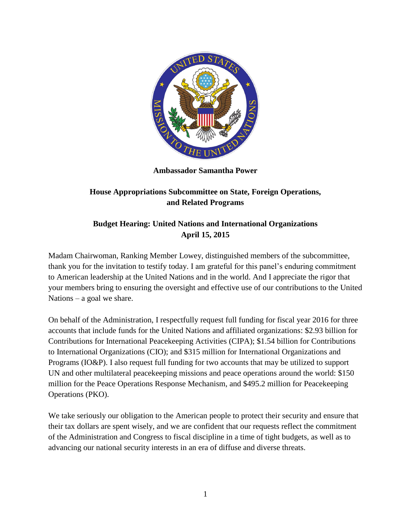<span id="page-3-0"></span>

**Ambassador Samantha Power** 

### **House Appropriations Subcommittee on State, Foreign Operations, and Related Programs**

### **Budget Hearing: United Nations and International Organizations April 15, 2015**

Madam Chairwoman, Ranking Member Lowey, distinguished members of the subcommittee, thank you for the invitation to testify today. I am grateful for this panel's enduring commitment to American leadership at the United Nations and in the world. And I appreciate the rigor that your members bring to ensuring the oversight and effective use of our contributions to the United Nations – a goal we share.

On behalf of the Administration, I respectfully request full funding for fiscal year 2016 for three accounts that include funds for the United Nations and affiliated organizations: \$2.93 billion for Contributions for International Peacekeeping Activities (CIPA); \$1.54 billion for Contributions to International Organizations (CIO); and \$315 million for International Organizations and Programs (IO&P). I also request full funding for two accounts that may be utilized to support UN and other multilateral peacekeeping missions and peace operations around the world: \$150 million for the Peace Operations Response Mechanism, and \$495.2 million for Peacekeeping Operations (PKO).

We take seriously our obligation to the American people to protect their security and ensure that their tax dollars are spent wisely, and we are confident that our requests reflect the commitment of the Administration and Congress to fiscal discipline in a time of tight budgets, as well as to advancing our national security interests in an era of diffuse and diverse threats.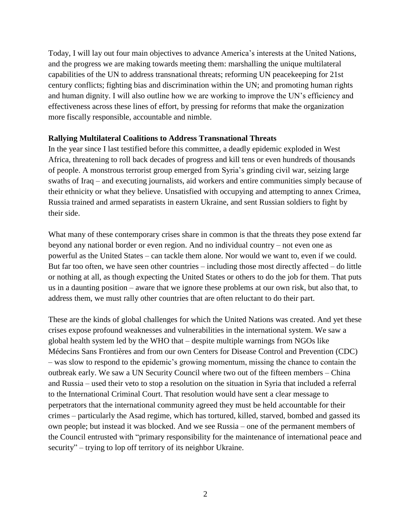Today, I will lay out four main objectives to advance America's interests at the United Nations, and the progress we are making towards meeting them: marshalling the unique multilateral capabilities of the UN to address transnational threats; reforming UN peacekeeping for 21st century conflicts; fighting bias and discrimination within the UN; and promoting human rights and human dignity. I will also outline how we are working to improve the UN's efficiency and effectiveness across these lines of effort, by pressing for reforms that make the organization more fiscally responsible, accountable and nimble.

#### **Rallying Multilateral Coalitions to Address Transnational Threats**

In the year since I last testified before this committee, a deadly epidemic exploded in West Africa, threatening to roll back decades of progress and kill tens or even hundreds of thousands of people. A monstrous terrorist group emerged from Syria's grinding civil war, seizing large swaths of Iraq – and executing journalists, aid workers and entire communities simply because of their ethnicity or what they believe. Unsatisfied with occupying and attempting to annex Crimea, Russia trained and armed separatists in eastern Ukraine, and sent Russian soldiers to fight by their side.

What many of these contemporary crises share in common is that the threats they pose extend far beyond any national border or even region. And no individual country – not even one as powerful as the United States – can tackle them alone. Nor would we want to, even if we could. But far too often, we have seen other countries – including those most directly affected – do little or nothing at all, as though expecting the United States or others to do the job for them. That puts us in a daunting position – aware that we ignore these problems at our own risk, but also that, to address them, we must rally other countries that are often reluctant to do their part.

These are the kinds of global challenges for which the United Nations was created. And yet these crises expose profound weaknesses and vulnerabilities in the international system. We saw a global health system led by the WHO that – despite multiple warnings from NGOs like Médecins Sans Frontières and from our own Centers for Disease Control and Prevention (CDC) – was slow to respond to the epidemic's growing momentum, missing the chance to contain the outbreak early. We saw a UN Security Council where two out of the fifteen members – China and Russia – used their veto to stop a resolution on the situation in Syria that included a referral to the International Criminal Court. That resolution would have sent a clear message to perpetrators that the international community agreed they must be held accountable for their crimes – particularly the Asad regime, which has tortured, killed, starved, bombed and gassed its own people; but instead it was blocked. And we see Russia – one of the permanent members of the Council entrusted with "primary responsibility for the maintenance of international peace and security" – trying to lop off territory of its neighbor Ukraine.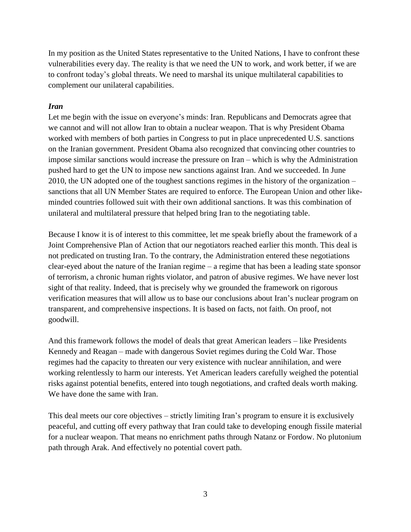In my position as the United States representative to the United Nations, I have to confront these vulnerabilities every day. The reality is that we need the UN to work, and work better, if we are to confront today's global threats. We need to marshal its unique multilateral capabilities to complement our unilateral capabilities.

#### *Iran*

Let me begin with the issue on everyone's minds: Iran. Republicans and Democrats agree that we cannot and will not allow Iran to obtain a nuclear weapon. That is why President Obama worked with members of both parties in Congress to put in place unprecedented U.S. sanctions on the Iranian government. President Obama also recognized that convincing other countries to impose similar sanctions would increase the pressure on Iran – which is why the Administration pushed hard to get the UN to impose new sanctions against Iran. And we succeeded. In June 2010, the UN adopted one of the toughest sanctions regimes in the history of the organization – sanctions that all UN Member States are required to enforce. The European Union and other likeminded countries followed suit with their own additional sanctions. It was this combination of unilateral and multilateral pressure that helped bring Iran to the negotiating table.

Because I know it is of interest to this committee, let me speak briefly about the framework of a Joint Comprehensive Plan of Action that our negotiators reached earlier this month. This deal is not predicated on trusting Iran. To the contrary, the Administration entered these negotiations clear-eyed about the nature of the Iranian regime – a regime that has been a leading state sponsor of terrorism, a chronic human rights violator, and patron of abusive regimes. We have never lost sight of that reality. Indeed, that is precisely why we grounded the framework on rigorous verification measures that will allow us to base our conclusions about Iran's nuclear program on transparent, and comprehensive inspections. It is based on facts, not faith. On proof, not goodwill.

And this framework follows the model of deals that great American leaders – like Presidents Kennedy and Reagan – made with dangerous Soviet regimes during the Cold War. Those regimes had the capacity to threaten our very existence with nuclear annihilation, and were working relentlessly to harm our interests. Yet American leaders carefully weighed the potential risks against potential benefits, entered into tough negotiations, and crafted deals worth making. We have done the same with Iran.

This deal meets our core objectives – strictly limiting Iran's program to ensure it is exclusively peaceful, and cutting off every pathway that Iran could take to developing enough fissile material for a nuclear weapon. That means no enrichment paths through Natanz or Fordow. No plutonium path through Arak. And effectively no potential covert path.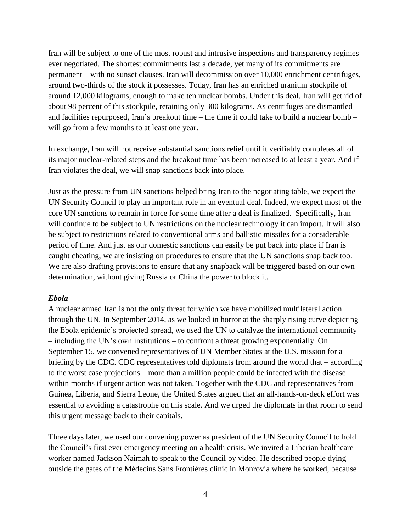Iran will be subject to one of the most robust and intrusive inspections and transparency regimes ever negotiated. The shortest commitments last a decade, yet many of its commitments are permanent – with no sunset clauses. Iran will decommission over 10,000 enrichment centrifuges, around two-thirds of the stock it possesses. Today, Iran has an enriched uranium stockpile of around 12,000 kilograms, enough to make ten nuclear bombs. Under this deal, Iran will get rid of about 98 percent of this stockpile, retaining only 300 kilograms. As centrifuges are dismantled and facilities repurposed, Iran's breakout time – the time it could take to build a nuclear bomb – will go from a few months to at least one year.

In exchange, Iran will not receive substantial sanctions relief until it verifiably completes all of its major nuclear-related steps and the breakout time has been increased to at least a year. And if Iran violates the deal, we will snap sanctions back into place.

Just as the pressure from UN sanctions helped bring Iran to the negotiating table, we expect the UN Security Council to play an important role in an eventual deal. Indeed, we expect most of the core UN sanctions to remain in force for some time after a deal is finalized. Specifically, Iran will continue to be subject to UN restrictions on the nuclear technology it can import. It will also be subject to restrictions related to conventional arms and ballistic missiles for a considerable period of time. And just as our domestic sanctions can easily be put back into place if Iran is caught cheating, we are insisting on procedures to ensure that the UN sanctions snap back too. We are also drafting provisions to ensure that any snapback will be triggered based on our own determination, without giving Russia or China the power to block it.

#### *Ebola*

A nuclear armed Iran is not the only threat for which we have mobilized multilateral action through the UN. In September 2014, as we looked in horror at the sharply rising curve depicting the Ebola epidemic's projected spread, we used the UN to catalyze the international community – including the UN's own institutions – to confront a threat growing exponentially. On September 15, we convened representatives of UN Member States at the U.S. mission for a briefing by the CDC. CDC representatives told diplomats from around the world that – according to the worst case projections – more than a million people could be infected with the disease within months if urgent action was not taken. Together with the CDC and representatives from Guinea, Liberia, and Sierra Leone, the United States argued that an all-hands-on-deck effort was essential to avoiding a catastrophe on this scale. And we urged the diplomats in that room to send this urgent message back to their capitals.

Three days later, we used our convening power as president of the UN Security Council to hold the Council's first ever emergency meeting on a health crisis. We invited a Liberian healthcare worker named Jackson Naimah to speak to the Council by video. He described people dying outside the gates of the Médecins Sans Frontières clinic in Monrovia where he worked, because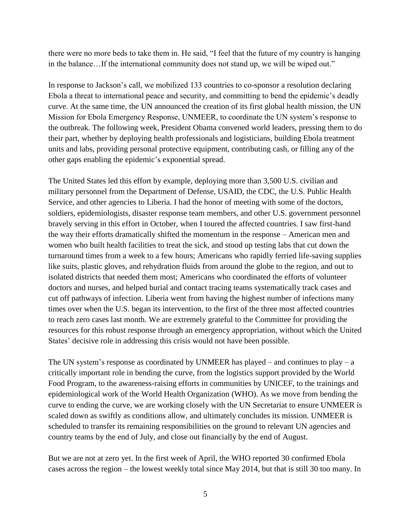there were no more beds to take them in. He said, "I feel that the future of my country is hanging in the balance…If the international community does not stand up, we will be wiped out."

In response to Jackson's call, we mobilized 133 countries to co-sponsor a resolution declaring Ebola a threat to international peace and security, and committing to bend the epidemic's deadly curve. At the same time, the UN announced the creation of its first global health mission, the UN Mission for Ebola Emergency Response, UNMEER, to coordinate the UN system's response to the outbreak. The following week, President Obama convened world leaders, pressing them to do their part, whether by deploying health professionals and logisticians, building Ebola treatment units and labs, providing personal protective equipment, contributing cash, or filling any of the other gaps enabling the epidemic's exponential spread.

The United States led this effort by example, deploying more than 3,500 U.S. civilian and military personnel from the Department of Defense, USAID, the CDC, the U.S. Public Health Service, and other agencies to Liberia. I had the honor of meeting with some of the doctors, soldiers, epidemiologists, disaster response team members, and other U.S. government personnel bravely serving in this effort in October, when I toured the affected countries. I saw first-hand the way their efforts dramatically shifted the momentum in the response – American men and women who built health facilities to treat the sick, and stood up testing labs that cut down the turnaround times from a week to a few hours; Americans who rapidly ferried life-saving supplies like suits, plastic gloves, and rehydration fluids from around the globe to the region, and out to isolated districts that needed them most; Americans who coordinated the efforts of volunteer doctors and nurses, and helped burial and contact tracing teams systematically track cases and cut off pathways of infection. Liberia went from having the highest number of infections many times over when the U.S. began its intervention, to the first of the three most affected countries to reach zero cases last month. We are extremely grateful to the Committee for providing the resources for this robust response through an emergency appropriation, without which the United States' decisive role in addressing this crisis would not have been possible.

The UN system's response as coordinated by UNMEER has played – and continues to play – a critically important role in bending the curve, from the logistics support provided by the World Food Program, to the awareness-raising efforts in communities by UNICEF, to the trainings and epidemiological work of the World Health Organization (WHO). As we move from bending the curve to ending the curve, we are working closely with the UN Secretariat to ensure UNMEER is scaled down as swiftly as conditions allow, and ultimately concludes its mission. UNMEER is scheduled to transfer its remaining responsibilities on the ground to relevant UN agencies and country teams by the end of July, and close out financially by the end of August.

But we are not at zero yet. In the first week of April, the WHO reported 30 confirmed Ebola cases across the region – the lowest weekly total since May 2014, but that is still 30 too many. In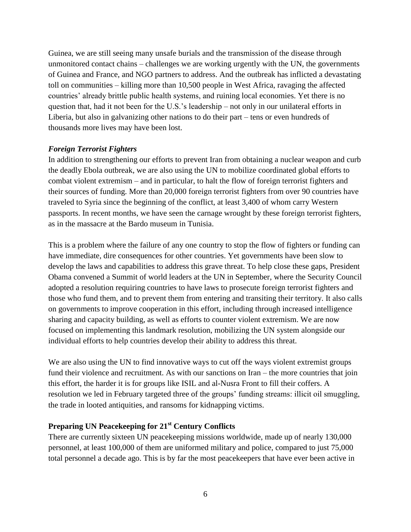Guinea, we are still seeing many unsafe burials and the transmission of the disease through unmonitored contact chains – challenges we are working urgently with the UN, the governments of Guinea and France, and NGO partners to address. And the outbreak has inflicted a devastating toll on communities – killing more than 10,500 people in West Africa, ravaging the affected countries' already brittle public health systems, and ruining local economies. Yet there is no question that, had it not been for the U.S.'s leadership – not only in our unilateral efforts in Liberia, but also in galvanizing other nations to do their part – tens or even hundreds of thousands more lives may have been lost.

#### *Foreign Terrorist Fighters*

In addition to strengthening our efforts to prevent Iran from obtaining a nuclear weapon and curb the deadly Ebola outbreak, we are also using the UN to mobilize coordinated global efforts to combat violent extremism – and in particular, to halt the flow of foreign terrorist fighters and their sources of funding. More than 20,000 foreign terrorist fighters from over 90 countries have traveled to Syria since the beginning of the conflict, at least 3,400 of whom carry Western passports. In recent months, we have seen the carnage wrought by these foreign terrorist fighters, as in the massacre at the Bardo museum in Tunisia.

This is a problem where the failure of any one country to stop the flow of fighters or funding can have immediate, dire consequences for other countries. Yet governments have been slow to develop the laws and capabilities to address this grave threat. To help close these gaps, President Obama convened a Summit of world leaders at the UN in September, where the Security Council adopted a resolution requiring countries to have laws to prosecute foreign terrorist fighters and those who fund them, and to prevent them from entering and transiting their territory. It also calls on governments to improve cooperation in this effort, including through increased intelligence sharing and capacity building, as well as efforts to counter violent extremism. We are now focused on implementing this landmark resolution, mobilizing the UN system alongside our individual efforts to help countries develop their ability to address this threat.

We are also using the UN to find innovative ways to cut off the ways violent extremist groups fund their violence and recruitment. As with our sanctions on Iran – the more countries that join this effort, the harder it is for groups like ISIL and al-Nusra Front to fill their coffers. A resolution we led in February targeted three of the groups' funding streams: illicit oil smuggling, the trade in looted antiquities, and ransoms for kidnapping victims.

#### **Preparing UN Peacekeeping for 21st Century Conflicts**

There are currently sixteen UN peacekeeping missions worldwide, made up of nearly 130,000 personnel, at least 100,000 of them are uniformed military and police, compared to just 75,000 total personnel a decade ago. This is by far the most peacekeepers that have ever been active in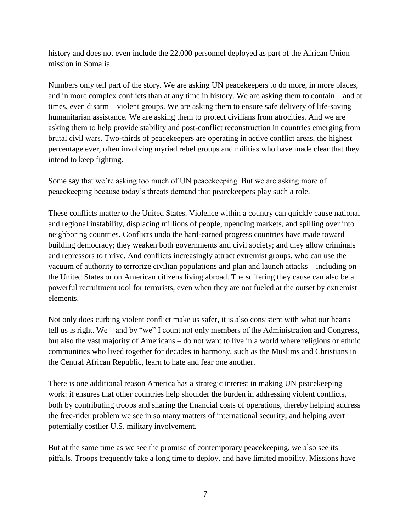history and does not even include the 22,000 personnel deployed as part of the African Union mission in Somalia.

Numbers only tell part of the story. We are asking UN peacekeepers to do more, in more places, and in more complex conflicts than at any time in history. We are asking them to contain – and at times, even disarm – violent groups. We are asking them to ensure safe delivery of life-saving humanitarian assistance. We are asking them to protect civilians from atrocities. And we are asking them to help provide stability and post-conflict reconstruction in countries emerging from brutal civil wars. Two-thirds of peacekeepers are operating in active conflict areas, the highest percentage ever, often involving myriad rebel groups and militias who have made clear that they intend to keep fighting.

Some say that we're asking too much of UN peacekeeping. But we are asking more of peacekeeping because today's threats demand that peacekeepers play such a role.

These conflicts matter to the United States. Violence within a country can quickly cause national and regional instability, displacing millions of people, upending markets, and spilling over into neighboring countries. Conflicts undo the hard-earned progress countries have made toward building democracy; they weaken both governments and civil society; and they allow criminals and repressors to thrive. And conflicts increasingly attract extremist groups, who can use the vacuum of authority to terrorize civilian populations and plan and launch attacks – including on the United States or on American citizens living abroad. The suffering they cause can also be a powerful recruitment tool for terrorists, even when they are not fueled at the outset by extremist elements.

Not only does curbing violent conflict make us safer, it is also consistent with what our hearts tell us is right. We – and by "we" I count not only members of the Administration and Congress, but also the vast majority of Americans – do not want to live in a world where religious or ethnic communities who lived together for decades in harmony, such as the Muslims and Christians in the Central African Republic, learn to hate and fear one another.

There is one additional reason America has a strategic interest in making UN peacekeeping work: it ensures that other countries help shoulder the burden in addressing violent conflicts, both by contributing troops and sharing the financial costs of operations, thereby helping address the free-rider problem we see in so many matters of international security, and helping avert potentially costlier U.S. military involvement.

But at the same time as we see the promise of contemporary peacekeeping, we also see its pitfalls. Troops frequently take a long time to deploy, and have limited mobility. Missions have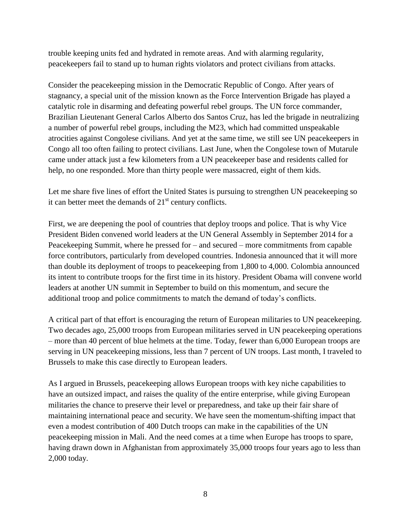trouble keeping units fed and hydrated in remote areas. And with alarming regularity, peacekeepers fail to stand up to human rights violators and protect civilians from attacks.

Consider the peacekeeping mission in the Democratic Republic of Congo. After years of stagnancy, a special unit of the mission known as the Force Intervention Brigade has played a catalytic role in disarming and defeating powerful rebel groups. The UN force commander, Brazilian Lieutenant General Carlos Alberto dos Santos Cruz, has led the brigade in neutralizing a number of powerful rebel groups, including the M23, which had committed unspeakable atrocities against Congolese civilians. And yet at the same time, we still see UN peacekeepers in Congo all too often failing to protect civilians. Last June, when the Congolese town of Mutarule came under attack just a few kilometers from a UN peacekeeper base and residents called for help, no one responded. More than thirty people were massacred, eight of them kids.

Let me share five lines of effort the United States is pursuing to strengthen UN peacekeeping so it can better meet the demands of  $21<sup>st</sup>$  century conflicts.

First, we are deepening the pool of countries that deploy troops and police. That is why Vice President Biden convened world leaders at the UN General Assembly in September 2014 for a Peacekeeping Summit, where he pressed for – and secured – more commitments from capable force contributors, particularly from developed countries. Indonesia announced that it will more than double its deployment of troops to peacekeeping from 1,800 to 4,000. Colombia announced its intent to contribute troops for the first time in its history. President Obama will convene world leaders at another UN summit in September to build on this momentum, and secure the additional troop and police commitments to match the demand of today's conflicts.

A critical part of that effort is encouraging the return of European militaries to UN peacekeeping. Two decades ago, 25,000 troops from European militaries served in UN peacekeeping operations – more than 40 percent of blue helmets at the time. Today, fewer than 6,000 European troops are serving in UN peacekeeping missions, less than 7 percent of UN troops. Last month, I traveled to Brussels to make this case directly to European leaders.

As I argued in Brussels, peacekeeping allows European troops with key niche capabilities to have an outsized impact, and raises the quality of the entire enterprise, while giving European militaries the chance to preserve their level or preparedness, and take up their fair share of maintaining international peace and security. We have seen the momentum-shifting impact that even a modest contribution of 400 Dutch troops can make in the capabilities of the UN peacekeeping mission in Mali. And the need comes at a time when Europe has troops to spare, having drawn down in Afghanistan from approximately 35,000 troops four years ago to less than 2,000 today.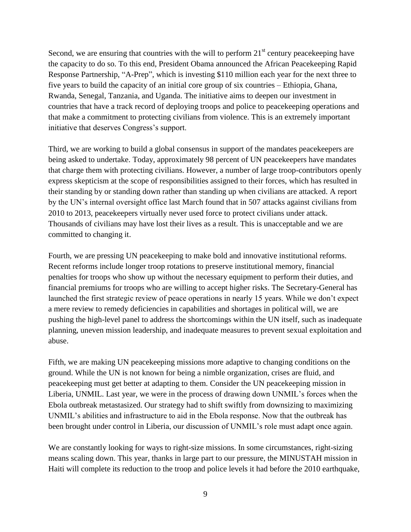Second, we are ensuring that countries with the will to perform  $21<sup>st</sup>$  century peacekeeping have the capacity to do so. To this end, President Obama announced the African Peacekeeping Rapid Response Partnership, "A-Prep", which is investing \$110 million each year for the next three to five years to build the capacity of an initial core group of six countries – Ethiopia, Ghana, Rwanda, Senegal, Tanzania, and Uganda. The initiative aims to deepen our investment in countries that have a track record of deploying troops and police to peacekeeping operations and that make a commitment to protecting civilians from violence. This is an extremely important initiative that deserves Congress's support.

Third, we are working to build a global consensus in support of the mandates peacekeepers are being asked to undertake. Today, approximately 98 percent of UN peacekeepers have mandates that charge them with protecting civilians. However, a number of large troop-contributors openly express skepticism at the scope of responsibilities assigned to their forces, which has resulted in their standing by or standing down rather than standing up when civilians are attacked. A report by the UN's internal oversight office last March found that in 507 attacks against civilians from 2010 to 2013, peacekeepers virtually never used force to protect civilians under attack. Thousands of civilians may have lost their lives as a result. This is unacceptable and we are committed to changing it.

Fourth, we are pressing UN peacekeeping to make bold and innovative institutional reforms. Recent reforms include longer troop rotations to preserve institutional memory, financial penalties for troops who show up without the necessary equipment to perform their duties, and financial premiums for troops who are willing to accept higher risks. The Secretary-General has launched the first strategic review of peace operations in nearly 15 years. While we don't expect a mere review to remedy deficiencies in capabilities and shortages in political will, we are pushing the high-level panel to address the shortcomings within the UN itself, such as inadequate planning, uneven mission leadership, and inadequate measures to prevent sexual exploitation and abuse.

Fifth, we are making UN peacekeeping missions more adaptive to changing conditions on the ground. While the UN is not known for being a nimble organization, crises are fluid, and peacekeeping must get better at adapting to them. Consider the UN peacekeeping mission in Liberia, UNMIL. Last year, we were in the process of drawing down UNMIL's forces when the Ebola outbreak metastasized. Our strategy had to shift swiftly from downsizing to maximizing UNMIL's abilities and infrastructure to aid in the Ebola response. Now that the outbreak has been brought under control in Liberia, our discussion of UNMIL's role must adapt once again.

We are constantly looking for ways to right-size missions. In some circumstances, right-sizing means scaling down. This year, thanks in large part to our pressure, the MINUSTAH mission in Haiti will complete its reduction to the troop and police levels it had before the 2010 earthquake,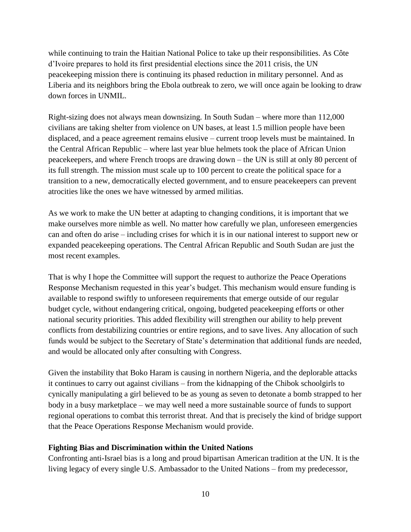while continuing to train the Haitian National Police to take up their responsibilities. As Côte d'Ivoire prepares to hold its first presidential elections since the 2011 crisis, the UN peacekeeping mission there is continuing its phased reduction in military personnel. And as Liberia and its neighbors bring the Ebola outbreak to zero, we will once again be looking to draw down forces in UNMIL.

Right-sizing does not always mean downsizing. In South Sudan – where more than 112,000 civilians are taking shelter from violence on UN bases, at least 1.5 million people have been displaced, and a peace agreement remains elusive – current troop levels must be maintained. In the Central African Republic – where last year blue helmets took the place of African Union peacekeepers, and where French troops are drawing down – the UN is still at only 80 percent of its full strength. The mission must scale up to 100 percent to create the political space for a transition to a new, democratically elected government, and to ensure peacekeepers can prevent atrocities like the ones we have witnessed by armed militias.

As we work to make the UN better at adapting to changing conditions, it is important that we make ourselves more nimble as well. No matter how carefully we plan, unforeseen emergencies can and often do arise – including crises for which it is in our national interest to support new or expanded peacekeeping operations. The Central African Republic and South Sudan are just the most recent examples.

That is why I hope the Committee will support the request to authorize the Peace Operations Response Mechanism requested in this year's budget. This mechanism would ensure funding is available to respond swiftly to unforeseen requirements that emerge outside of our regular budget cycle, without endangering critical, ongoing, budgeted peacekeeping efforts or other national security priorities. This added flexibility will strengthen our ability to help prevent conflicts from destabilizing countries or entire regions, and to save lives. Any allocation of such funds would be subject to the Secretary of State's determination that additional funds are needed, and would be allocated only after consulting with Congress.

Given the instability that Boko Haram is causing in northern Nigeria, and the deplorable attacks it continues to carry out against civilians – from the kidnapping of the Chibok schoolgirls to cynically manipulating a girl believed to be as young as seven to detonate a bomb strapped to her body in a busy marketplace – we may well need a more sustainable source of funds to support regional operations to combat this terrorist threat. And that is precisely the kind of bridge support that the Peace Operations Response Mechanism would provide.

#### **Fighting Bias and Discrimination within the United Nations**

Confronting anti-Israel bias is a long and proud bipartisan American tradition at the UN. It is the living legacy of every single U.S. Ambassador to the United Nations – from my predecessor,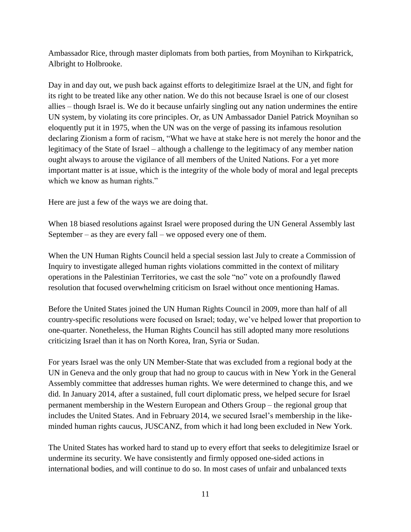Ambassador Rice, through master diplomats from both parties, from Moynihan to Kirkpatrick, Albright to Holbrooke.

Day in and day out, we push back against efforts to delegitimize Israel at the UN, and fight for its right to be treated like any other nation. We do this not because Israel is one of our closest allies – though Israel is. We do it because unfairly singling out any nation undermines the entire UN system, by violating its core principles. Or, as UN Ambassador Daniel Patrick Moynihan so eloquently put it in 1975, when the UN was on the verge of passing its infamous resolution declaring Zionism a form of racism, "What we have at stake here is not merely the honor and the legitimacy of the State of Israel – although a challenge to the legitimacy of any member nation ought always to arouse the vigilance of all members of the United Nations. For a yet more important matter is at issue, which is the integrity of the whole body of moral and legal precepts which we know as human rights."

Here are just a few of the ways we are doing that.

When 18 biased resolutions against Israel were proposed during the UN General Assembly last September – as they are every fall – we opposed every one of them.

When the UN Human Rights Council held a special session last July to create a Commission of Inquiry to investigate alleged human rights violations committed in the context of military operations in the Palestinian Territories, we cast the sole "no" vote on a profoundly flawed resolution that focused overwhelming criticism on Israel without once mentioning Hamas.

Before the United States joined the UN Human Rights Council in 2009, more than half of all country-specific resolutions were focused on Israel; today, we've helped lower that proportion to one-quarter. Nonetheless, the Human Rights Council has still adopted many more resolutions criticizing Israel than it has on North Korea, Iran, Syria or Sudan.

For years Israel was the only UN Member-State that was excluded from a regional body at the UN in Geneva and the only group that had no group to caucus with in New York in the General Assembly committee that addresses human rights. We were determined to change this, and we did. In January 2014, after a sustained, full court diplomatic press, we helped secure for Israel permanent membership in the Western European and Others Group – the regional group that includes the United States. And in February 2014, we secured Israel's membership in the likeminded human rights caucus, JUSCANZ, from which it had long been excluded in New York.

The United States has worked hard to stand up to every effort that seeks to delegitimize Israel or undermine its security. We have consistently and firmly opposed one-sided actions in international bodies, and will continue to do so. In most cases of unfair and unbalanced texts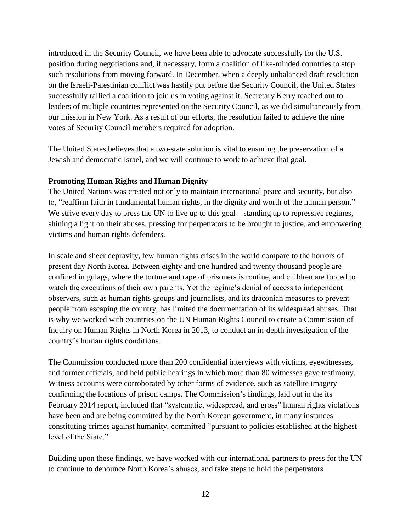introduced in the Security Council, we have been able to advocate successfully for the U.S. position during negotiations and, if necessary, form a coalition of like-minded countries to stop such resolutions from moving forward. In December, when a deeply unbalanced draft resolution on the Israeli-Palestinian conflict was hastily put before the Security Council, the United States successfully rallied a coalition to join us in voting against it. Secretary Kerry reached out to leaders of multiple countries represented on the Security Council, as we did simultaneously from our mission in New York. As a result of our efforts, the resolution failed to achieve the nine votes of Security Council members required for adoption.

The United States believes that a two-state solution is vital to ensuring the preservation of a Jewish and democratic Israel, and we will continue to work to achieve that goal.

#### **Promoting Human Rights and Human Dignity**

The United Nations was created not only to maintain international peace and security, but also to, "reaffirm faith in fundamental human rights, in the dignity and worth of the human person." We strive every day to press the UN to live up to this goal – standing up to repressive regimes, shining a light on their abuses, pressing for perpetrators to be brought to justice, and empowering victims and human rights defenders.

In scale and sheer depravity, few human rights crises in the world compare to the horrors of present day North Korea. Between eighty and one hundred and twenty thousand people are confined in gulags, where the torture and rape of prisoners is routine, and children are forced to watch the executions of their own parents. Yet the regime's denial of access to independent observers, such as human rights groups and journalists, and its draconian measures to prevent people from escaping the country, has limited the documentation of its widespread abuses. That is why we worked with countries on the UN Human Rights Council to create a Commission of Inquiry on Human Rights in North Korea in 2013, to conduct an in-depth investigation of the country's human rights conditions.

The Commission conducted more than 200 confidential interviews with victims, eyewitnesses, and former officials, and held public hearings in which more than 80 witnesses gave testimony. Witness accounts were corroborated by other forms of evidence, such as satellite imagery confirming the locations of prison camps. The Commission's findings, laid out in the its February 2014 report, included that "systematic, widespread, and gross" human rights violations have been and are being committed by the North Korean government, in many instances constituting crimes against humanity, committed "pursuant to policies established at the highest level of the State."

Building upon these findings, we have worked with our international partners to press for the UN to continue to denounce North Korea's abuses, and take steps to hold the perpetrators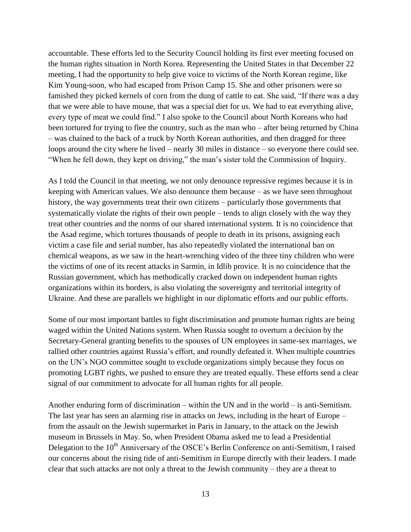accountable. These efforts led to the Security Council holding its first ever meeting focused on the human rights situation in North Korea. Representing the United States in that December 22 meeting, I had the opportunity to help give voice to victims of the North Korean regime, like Kim Young-soon, who had escaped from Prison Camp 15. She and other prisoners were so famished they picked kernels of corn from the dung of cattle to eat. She said, "If there was a day that we were able to have mouse, that was a special diet for us. We had to eat everything alive, every type of meat we could find." I also spoke to the Council about North Koreans who had been tortured for trying to flee the country, such as the man who – after being returned by China – was chained to the back of a truck by North Korean authorities, and then dragged for three loops around the city where he lived – nearly 30 miles in distance – so everyone there could see. "When he fell down, they kept on driving," the man's sister told the Commission of Inquiry.

As I told the Council in that meeting, we not only denounce repressive regimes because it is in keeping with American values. We also denounce them because – as we have seen throughout history, the way governments treat their own citizens – particularly those governments that systematically violate the rights of their own people – tends to align closely with the way they treat other countries and the norms of our shared international system. It is no coincidence that the Asad regime, which tortures thousands of people to death in its prisons, assigning each victim a case file and serial number, has also repeatedly violated the international ban on chemical weapons, as we saw in the heart-wrenching video of the three tiny children who were the victims of one of its recent attacks in Sarmin, in Idlib provice. It is no coincidence that the Russian government, which has methodically cracked down on independent human rights organizations within its borders, is also violating the sovereignty and territorial integrity of Ukraine. And these are parallels we highlight in our diplomatic efforts and our public efforts.

Some of our most important battles to fight discrimination and promote human rights are being waged within the United Nations system. When Russia sought to overturn a decision by the Secretary-General granting benefits to the spouses of UN employees in same-sex marriages, we rallied other countries against Russia's effort, and roundly defeated it. When multiple countries on the UN's NGO committee sought to exclude organizations simply because they focus on promoting LGBT rights, we pushed to ensure they are treated equally. These efforts send a clear signal of our commitment to advocate for all human rights for all people.

Another enduring form of discrimination – within the UN and in the world – is anti-Semitism. The last year has seen an alarming rise in attacks on Jews, including in the heart of Europe – from the assault on the Jewish supermarket in Paris in January, to the attack on the Jewish museum in Brussels in May. So, when President Obama asked me to lead a Presidential Delegation to the 10<sup>th</sup> Anniversary of the OSCE's Berlin Conference on anti-Semitism, I raised our concerns about the rising tide of anti-Semitism in Europe directly with their leaders. I made clear that such attacks are not only a threat to the Jewish community – they are a threat to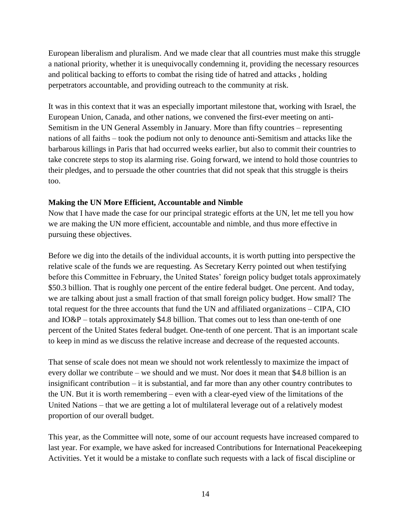European liberalism and pluralism. And we made clear that all countries must make this struggle a national priority, whether it is unequivocally condemning it, providing the necessary resources and political backing to efforts to combat the rising tide of hatred and attacks , holding perpetrators accountable, and providing outreach to the community at risk.

It was in this context that it was an especially important milestone that, working with Israel, the European Union, Canada, and other nations, we convened the first-ever meeting on anti-Semitism in the UN General Assembly in January. More than fifty countries – representing nations of all faiths – took the podium not only to denounce anti-Semitism and attacks like the barbarous killings in Paris that had occurred weeks earlier, but also to commit their countries to take concrete steps to stop its alarming rise. Going forward, we intend to hold those countries to their pledges, and to persuade the other countries that did not speak that this struggle is theirs too.

#### **Making the UN More Efficient, Accountable and Nimble**

Now that I have made the case for our principal strategic efforts at the UN, let me tell you how we are making the UN more efficient, accountable and nimble, and thus more effective in pursuing these objectives.

Before we dig into the details of the individual accounts, it is worth putting into perspective the relative scale of the funds we are requesting. As Secretary Kerry pointed out when testifying before this Committee in February, the United States' foreign policy budget totals approximately \$50.3 billion. That is roughly one percent of the entire federal budget. One percent. And today, we are talking about just a small fraction of that small foreign policy budget. How small? The total request for the three accounts that fund the UN and affiliated organizations – CIPA, CIO and  $IO&P$  – totals approximately \$4.8 billion. That comes out to less than one-tenth of one percent of the United States federal budget. One-tenth of one percent. That is an important scale to keep in mind as we discuss the relative increase and decrease of the requested accounts.

That sense of scale does not mean we should not work relentlessly to maximize the impact of every dollar we contribute – we should and we must. Nor does it mean that \$4.8 billion is an insignificant contribution – it is substantial, and far more than any other country contributes to the UN. But it is worth remembering – even with a clear-eyed view of the limitations of the United Nations – that we are getting a lot of multilateral leverage out of a relatively modest proportion of our overall budget.

This year, as the Committee will note, some of our account requests have increased compared to last year. For example, we have asked for increased Contributions for International Peacekeeping Activities. Yet it would be a mistake to conflate such requests with a lack of fiscal discipline or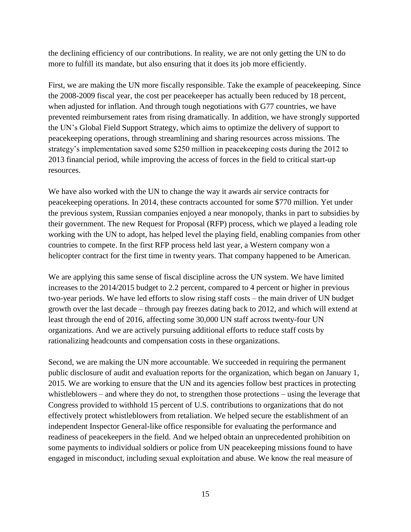the declining efficiency of our contributions. In reality, we are not only getting the UN to do more to fulfill its mandate, but also ensuring that it does its job more efficiently.

First, we are making the UN more fiscally responsible. Take the example of peacekeeping. Since the 2008-2009 fiscal year, the cost per peacekeeper has actually been reduced by 18 percent, when adjusted for inflation. And through tough negotiations with G77 countries, we have prevented reimbursement rates from rising dramatically. In addition, we have strongly supported the UN's Global Field Support Strategy, which aims to optimize the delivery of support to peacekeeping operations, through streamlining and sharing resources across missions. The strategy's implementation saved some \$250 million in peacekeeping costs during the 2012 to 2013 financial period, while improving the access of forces in the field to critical start-up resources.

We have also worked with the UN to change the way it awards air service contracts for peacekeeping operations. In 2014, these contracts accounted for some \$770 million. Yet under the previous system, Russian companies enjoyed a near monopoly, thanks in part to subsidies by their government. The new Request for Proposal (RFP) process, which we played a leading role working with the UN to adopt, has helped level the playing field, enabling companies from other countries to compete. In the first RFP process held last year, a Western company won a helicopter contract for the first time in twenty years. That company happened to be American.

We are applying this same sense of fiscal discipline across the UN system. We have limited increases to the 2014/2015 budget to 2.2 percent, compared to 4 percent or higher in previous two-year periods. We have led efforts to slow rising staff costs – the main driver of UN budget growth over the last decade – through pay freezes dating back to 2012, and which will extend at least through the end of 2016, affecting some 30,000 UN staff across twenty-four UN organizations. And we are actively pursuing additional efforts to reduce staff costs by rationalizing headcounts and compensation costs in these organizations.

Second, we are making the UN more accountable. We succeeded in requiring the permanent public disclosure of audit and evaluation reports for the organization, which began on January 1, 2015. We are working to ensure that the UN and its agencies follow best practices in protecting whistleblowers – and where they do not, to strengthen those protections – using the leverage that Congress provided to withhold 15 percent of U.S. contributions to organizations that do not effectively protect whistleblowers from retaliation. We helped secure the establishment of an independent Inspector General-like office responsible for evaluating the performance and readiness of peacekeepers in the field. And we helped obtain an unprecedented prohibition on some payments to individual soldiers or police from UN peacekeeping missions found to have engaged in misconduct, including sexual exploitation and abuse. We know the real measure of